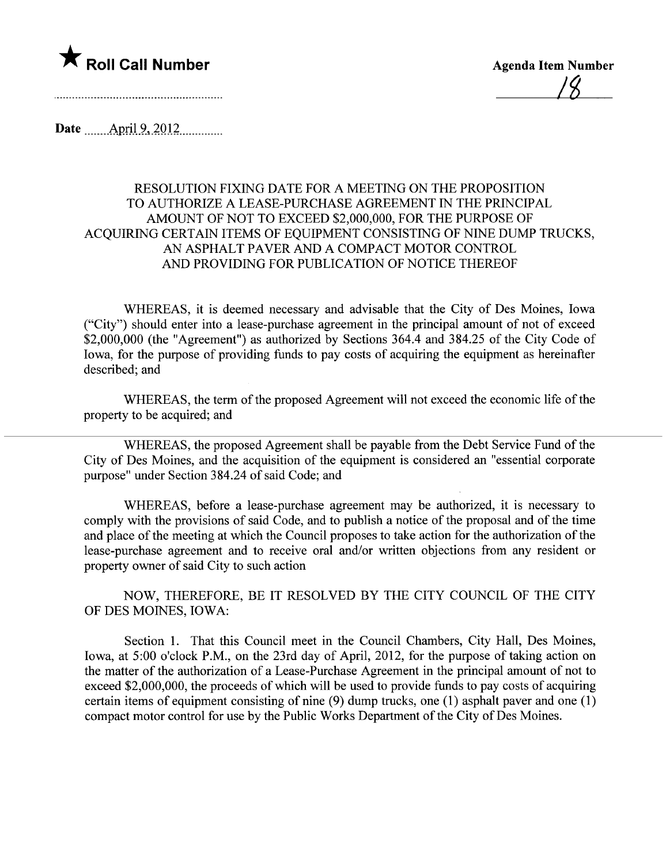

<u>| X</u>

Date \_\_\_\_\_\_ April 9, 2012

## RESOLUTION FIXING DATE FOR A MEETING ON THE PROPOSITION TO AUTHORIZE A LEASE-PURCHASE AGREEMENT IN THE PRINCIPAL AMOUNT OF NOT TO EXCEED \$2,000,000, FOR THE PURPOSE OF ACQUIRING CERTAIN ITEMS OF EQUIPMENT CONSISTING OF NINE DUMP TRUCKS, AN ASPHALT PAVER AND A COMPACT MOTOR CONTROL AND PROVIDING FOR PUBLICATION OF NOTICE THEREOF

WHEREAS, it is deemed necessary and advisable that the City of Des Moines, Iowa ("City") should enter into a lease-purchase agreement in the principal amount of not of exceed \$2,000,000 (the "Agreement") as authorized by Sections 364.4 and 384.25 of the City Code of Iowa, for the purpose of providing funds to pay costs of acquiring the equipment as hereinafter described; and

WHEREAS, the term of the proposed Agreement will not exceed the economic life of the property to be acquired; and

WHEREAS, the proposed Agreement shall be payable from the Debt Service Fund of the City of Des Moines, and the acquisition of the equipment is considered an "essential corporate purpose" under Section 384.24 of said Code; and

WHEREAS, before a lease-purchase agreement may be authorized, it is necessary to comply with the provisions of said Code, and to publish a notice of the proposal and of the time and place of the meeting at which the Council proposes to take action for the authorization of the lease-purchase agreement and to receive oral and/or written objections from any resident or property owner of said City to such action

NOW, THEREFORE, BE IT RESOLVED BY THE CITY COUNCIL OF THE CITY OF DES MOINES, IOWA:

Section 1. That this Council meet in the Council Chambers, City Hall, Des Moines, Iowa, at 5:00 o'clock P.M., on the 23rd day of April, 2012, for the purpose of taking action on the matter of the authorization of a Lease-Purchase Agreement in the principal amount of not to exceed \$2,000,000, the proceeds of which will be used to provide funds to pay costs of acquiring certain items of equipment consisting of nine (9) dump trucks, one (1) asphalt paver and one (1) compact motor control for use by the Public Works Department of the City of Des Moines.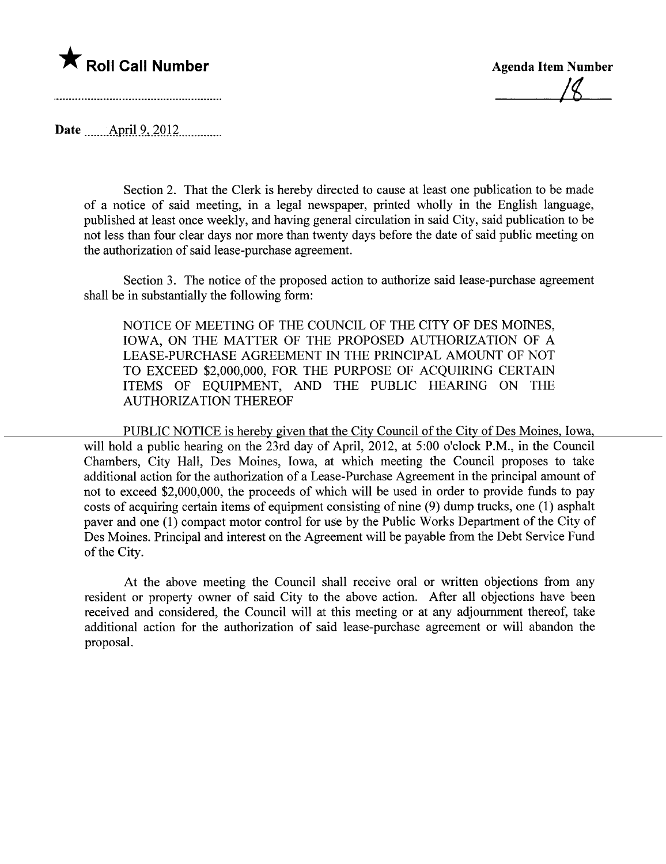

i~

Date \_\_\_\_\_\_\_ April 9, 2012

Section 2. That the Clerk is hereby directed to cause at least one publication to be made of a notice of said meeting, in a legal newspaper, printed wholly in the English language, published at least once weekly, and having general circulation in said City, said publication to be not less than four clear days nor more than twenty days before the date of said public meeting on the authorization of said lease-purchase agreement.

Section 3. The notice of the proposed action to authorize said lease-purchase agreement shall be in substantially the following form:

NOTICE OF MEETING OF THE COUNCIL OF THE CITY OF DES MOINES, IOWA, ON THE MATTER OF THE PROPOSED AUTHORIZATION OF A LEASE-PURCHASE AGREEMENT IN THE PRINCIPAL AMOUNT OF NOT TO EXCEED \$2,000,000, FOR THE PURPOSE OF ACQUIRING CERTAIN ITEMS OF EQUIPMENT, AND THE PUBLIC HEARING ON THE AUTHORIZATION THEREOF

PUBLIC NOTICE is hereby given that the City Council of the City of Des Moines. Iowa. will hold a public hearing on the 23rd day of April, 2012, at 5:00 o'clock P.M., in the Council Chambers, City Hall, Des Moines, Iowa, at which meeting the Council proposes to take additional action for the authorization of a Lease-Purchase Agreement in the principal amount of not to exceed \$2,000,000, the proceeds of which will be used in order to provide funds to pay costs of acquiring certain items of equipment consisting of nine (9) dump trucks, one (1) asphalt paver and one (1) compact motor control for use by the Public Works Department of the City of Des Moines. Principal and interest on the Agreement will be payable from the Debt Service Fund of the City.

At the above meeting the Council shall receive oral or written objections from any resident or property owner of said City to the above action. After all objections have been received and considered, the Council will at this meeting or at any adjournment thereof, take additional action for the authorization of said lease-purchase agreement or wil abandon the proposaL.